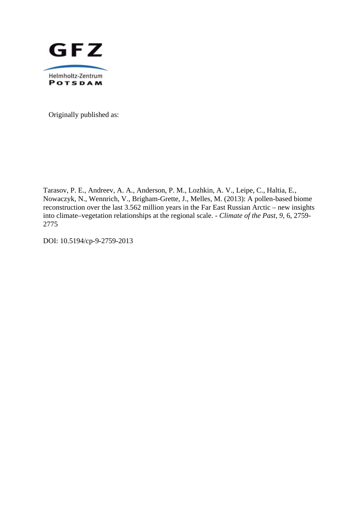

Originally published as:

Tarasov, P. E., Andreev, A. A., Anderson, P. M., Lozhkin, A. V., Leipe, C., Haltia, E., Nowaczyk, N., Wennrich, V., Brigham-Grette, J., Melles, M. (2013): A pollen-based biome reconstruction over the last 3.562 million years in the Far East Russian Arctic – new insights into climate–vegetation relationships at the regional scale. *- Climate of the Past*, *9*, 6, 2759- 2775

DOI: 10.5194/cp-9-2759-2013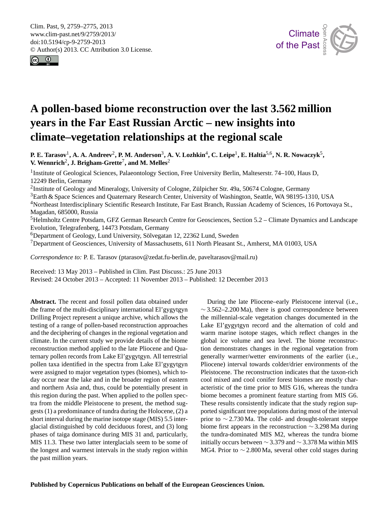<span id="page-1-0"></span>Clim. Past, 9, 2759–2775, 2013 www.clim-past.net/9/2759/2013/ doi:10.5194/cp-9-2759-2013 © Author(s) 2013. CC Attribution 3.0 License.





# **A pollen-based biome reconstruction over the last 3.562 million years in the Far East Russian Arctic – new insights into climate–vegetation relationships at the regional scale**

 ${\bf P. E.~Tarasov}^1, {\bf A.~A.~Andrew}^2, {\bf P.~M.~Anderson}^3, {\bf A.~V.~Lozhkin}^4, {\bf C.~Leipe}^1, {\bf E.~Haltia}^{5,6}, {\bf N.~R.~Nowaczyk}^5,$ **V. Wennrich<sup>2</sup>, J. Brigham-Grette<sup>7</sup>, and M. Melles<sup>2</sup>** 

<sup>1</sup>Institute of Geological Sciences, Palaeontology Section, Free University Berlin, Malteserstr. 74–100, Haus D, 12249 Berlin, Germany

<sup>2</sup>Institute of Geology and Mineralogy, University of Cologne, Zülpicher Str. 49a, 50674 Cologne, Germany

<sup>3</sup>Earth & Space Sciences and Quaternary Research Center, University of Washington, Seattle, WA 98195-1310, USA

<sup>4</sup>Northeast Interdisciplinary Scientific Research Institute, Far East Branch, Russian Academy of Sciences, 16 Portovaya St., Magadan, 685000, Russia

<sup>5</sup>Helmholtz Centre Potsdam, GFZ German Research Centre for Geosciences, Section 5.2 – Climate Dynamics and Landscape Evolution, Telegrafenberg, 14473 Potsdam, Germany

<sup>6</sup>Department of Geology, Lund University, Sölvegatan 12, 22362 Lund, Sweden

<sup>7</sup>Department of Geosciences, University of Massachusetts, 611 North Pleasant St., Amherst, MA 01003, USA

*Correspondence to:* P. E. Tarasov (ptarasov@zedat.fu-berlin.de, paveltarasov@mail.ru)

Received: 13 May 2013 – Published in Clim. Past Discuss.: 25 June 2013

Revised: 24 October 2013 – Accepted: 11 November 2013 – Published: 12 December 2013

**Abstract.** The recent and fossil pollen data obtained under the frame of the multi-disciplinary international El'gygytgyn Drilling Project represent a unique archive, which allows the testing of a range of pollen-based reconstruction approaches and the deciphering of changes in the regional vegetation and climate. In the current study we provide details of the biome reconstruction method applied to the late Pliocene and Quaternary pollen records from Lake El'gygytgyn. All terrestrial pollen taxa identified in the spectra from Lake El'gygytgyn were assigned to major vegetation types (biomes), which today occur near the lake and in the broader region of eastern and northern Asia and, thus, could be potentially present in this region during the past. When applied to the pollen spectra from the middle Pleistocene to present, the method suggests (1) a predominance of tundra during the Holocene, (2) a short interval during the marine isotope stage (MIS) 5.5 interglacial distinguished by cold deciduous forest, and (3) long phases of taiga dominance during MIS 31 and, particularly, MIS 11.3. These two latter interglacials seem to be some of the longest and warmest intervals in the study region within the past million years.

During the late Pliocene–early Pleistocene interval (i.e.,  $\sim$  3.562–2.200 Ma), there is good correspondence between the millennial-scale vegetation changes documented in the Lake El'gygytgyn record and the alternation of cold and warm marine isotope stages, which reflect changes in the global ice volume and sea level. The biome reconstruction demonstrates changes in the regional vegetation from generally warmer/wetter environments of the earlier (i.e., Pliocene) interval towards colder/drier environments of the Pleistocene. The reconstruction indicates that the taxon-rich cool mixed and cool conifer forest biomes are mostly characteristic of the time prior to MIS G16, whereas the tundra biome becomes a prominent feature starting from MIS G6. These results consistently indicate that the study region supported significant tree populations during most of the interval prior to ∼ 2.730 Ma. The cold- and drought-tolerant steppe biome first appears in the reconstruction ∼ 3.298 Ma during the tundra-dominated MIS M2, whereas the tundra biome initially occurs between ∼ 3.379 and ∼ 3.378 Ma within MIS MG4. Prior to ∼2.800 Ma, several other cold stages during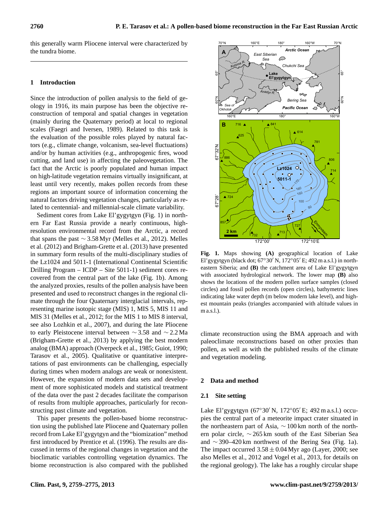this generally warm Pliocene interval were characterized by the tundra biome.

#### **1 Introduction**

Since the introduction of pollen analysis to the field of geology in 1916, its main purpose has been the objective reconstruction of temporal and spatial changes in vegetation (mainly during the Quaternary period) at local to regional scales (Faegri and Iversen, 1989). Related to this task is the evaluation of the possible roles played by natural factors (e.g., climate change, volcanism, sea-level fluctuations) and/or by human activities (e.g., anthropogenic fires, wood cutting, and land use) in affecting the paleovegetation. The fact that the Arctic is poorly populated and human impact on high-latitude vegetation remains virtually insignificant, at least until very recently, makes pollen records from these regions an important source of information concerning the natural factors driving vegetation changes, particularly as related to centennial- and millennial-scale climate variability.

Sediment cores from Lake El'gygytgyn (Fig. 1) in northern Far East Russia provide a nearly continuous, highresolution environmental record from the Arctic, a record that spans the past  $\sim$  3.58 Myr (Melles et al., 2012). Melles et al. (2012) and Brigham-Grette et al. (2013) have presented in summary form results of the multi-disciplinary studies of the Lz1024 and 5011-1 (International Continental Scientific Drilling Program – ICDP – Site 5011-1) sediment cores recovered from the central part of the lake (Fig. 1b). Among the analyzed proxies, results of the pollen analysis have been presented and used to reconstruct changes in the regional climate through the four Quaternary interglacial intervals, representing marine isotopic stage (MIS) 1, MIS 5, MIS 11 and MIS 31 (Melles et al., 2012; for the MIS 1 to MIS 8 interval, see also Lozhkin et al., 2007), and during the late Pliocene to early Pleistocene interval between ∼ 3.58 and ∼ 2.2 Ma (Brigham-Grette et al., 2013) by applying the best modern analog (BMA) approach (Overpeck et al., 1985; Guiot, 1990; Tarasov et al., 2005). Qualitative or quantitative interpretations of past environments can be challenging, especially during times when modern analogs are weak or nonexistent. However, the expansion of modern data sets and development of more sophisticated models and statistical treatment of the data over the past 2 decades facilitate the comparison of results from multiple approaches, particularly for reconstructing past climate and vegetation.

This paper presents the pollen-based biome reconstruction using the published late Pliocene and Quaternary pollen record from Lake El'gygytgyn and the "biomization" method first introduced by Prentice et al. (1996). The results are discussed in terms of the regional changes in vegetation and the bioclimatic variables controlling vegetation dynamics. The biome reconstruction is also compared with the published



**Fig. 1.** Maps showing **(A)** geographical location of Lake El'gygytgyn (black dot;  $67^{\circ}30'$  N,  $172^{\circ}05'$  E; 492 m a.s.l.) in northeastern Siberia; and **(B)** the catchment area of Lake El'gygytgyn with associated hydrological network. The lower map **(B)** also shows the locations of the modern pollen surface samples (closed circles) and fossil pollen records (open circles), bathymetric lines indicating lake water depth (m below modern lake level), and highest mountain peaks (triangles accompanied with altitude values in m a.s.l.).

climate reconstruction using the BMA approach and with paleoclimate reconstructions based on other proxies than pollen, as well as with the published results of the climate and vegetation modeling.

#### **2 Data and method**

### **2.1 Site setting**

Lake El'gygytgyn (67°30′ N, 172°05′ E; 492 m a.s.l.) occupies the central part of a meteorite impact crater situated in the northeastern part of Asia, ∼ 100 km north of the northern polar circle, ∼ 265 km south of the East Siberian Sea and ∼ 390–420 km northwest of the Bering Sea (Fig. 1a). The impact occurred  $3.58 \pm 0.04$  Myr ago (Layer, 2000; see also Melles et al., 2012 and Vogel et al., 2013, for details on the regional geology). The lake has a roughly circular shape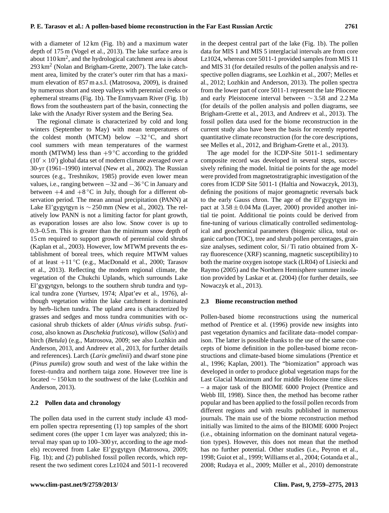with a diameter of 12 km (Fig. 1b) and a maximum water depth of 175 m (Vogel et al., 2013). The lake surface area is about  $110 \text{ km}^2$ , and the hydrological catchment area is about  $293 \text{ km}^2$  (Nolan and Brigham-Grette, 2007). The lake catchment area, limited by the crater's outer rim that has a maximum elevation of 857 m a.s.l. (Matrosova, 2009), is drained by numerous short and steep valleys with perennial creeks or ephemeral streams (Fig. 1b). The Enmyvaam River (Fig. 1b) flows from the southeastern part of the basin, connecting the lake with the Anadyr River system and the Bering Sea.

The regional climate is characterized by cold and long winters (September to May) with mean temperatures of the coldest month (MTCM) below  $-32$  °C, and short cool summers with mean temperatures of the warmest month (MTWM) less than  $+9^{\circ}$ C according to the gridded  $(10' \times 10')$  global data set of modern climate averaged over a 30-yr (1961–1990) interval (New et al., 2002). The Russian sources (e.g., Treshnikov, 1985) provide even lower mean values, i.e., ranging between  $-32$  and  $-36$  °C in January and between  $+4$  and  $+8$  °C in July, though for a different observation period. The mean annual precipitation (PANN) at Lake El'gygytgyn is  $\sim$  250 mm (New et al., 2002). The relatively low PANN is not a limiting factor for plant growth, as evaporation losses are also low. Snow cover is up to 0.3–0.5 m. This is greater than the minimum snow depth of 15 cm required to support growth of perennial cold shrubs (Kaplan et al., 2003). However, low MTWM prevents the establishment of boreal trees, which require MTWM values of at least  $+11 °C$  (e.g., MacDonald et al., 2000; Tarasov et al., 2013). Reflecting the modern regional climate, the vegetation of the Chukchi Uplands, which surrounds Lake El'gygytgyn, belongs to the southern shrub tundra and typical tundra zone (Yurtsev, 1974; Alpat'ev et al., 1976), although vegetation within the lake catchment is dominated by herb–lichen tundra. The upland area is characterized by grasses and sedges and moss tundra communities with occasional shrub thickets of alder (*Alnus viridis* subsp. *fruticosa*, also known as *Duschekia fruticosa*), willow (*Salix*) and birch (*Betula*) (e.g., Matrosova, 2009; see also Lozhkin and Anderson, 2013, and Andreev et al., 2013, for further details and references). Larch (*Larix gmelinii*) and dwarf stone pine (*Pinus pumila*) grow south and west of the lake within the forest–tundra and northern taiga zone. However tree line is located ∼ 150 km to the southwest of the lake (Lozhkin and Anderson, 2013).

#### **2.2 Pollen data and chronology**

The pollen data used in the current study include 43 modern pollen spectra representing (1) top samples of the short sediment cores (the upper 1 cm layer was analyzed; this interval may span up to 100–300 yr, according to the age models) recovered from Lake El'gygytgyn (Matrosova, 2009; Fig. 1b); and (2) published fossil pollen records, which represent the two sediment cores Lz1024 and 5011-1 recovered in the deepest central part of the lake (Fig. 1b). The pollen data for MIS 1 and MIS 5 interglacial intervals are from core Lz1024, whereas core 5011-1 provided samples from MIS 11 and MIS 31 (for detailed results of the pollen analysis and respective pollen diagrams, see Lozhkin et al., 2007; Melles et al., 2012; Lozhkin and Anderson, 2013). The pollen spectra from the lower part of core 5011-1 represent the late Pliocene and early Pleistocene interval between ∼ 3.58 and 2.2 Ma (for details of the pollen analysis and pollen diagrams, see Brigham-Grette et al., 2013, and Andreev et al., 2013). The fossil pollen data used for the biome reconstruction in the current study also have been the basis for recently reported quantitative climate reconstruction (for the core descriptions, see Melles et al., 2012, and Brigham-Grette et al., 2013).

The age model for the ICDP-Site 5011-1 sedimentary composite record was developed in several steps, successively refining the model. Initial tie points for the age model were provided from magnetostratigraphic investigation of the cores from ICDP Site 5011-1 (Haltia and Nowaczyk, 2013), defining the positions of major geomagnetic reversals back to the early Gauss chron. The age of the El'gygytgyn impact at  $3.58 \pm 0.04$  Ma (Layer, 2000) provided another initial tie point. Additional tie points could be derived from fine-tuning of various climatically controlled sedimentological and geochemical parameters (biogenic silica, total organic carbon (TOC), tree and shrub pollen percentages, grain size analyses, sediment color, Si / Ti ratio obtained from Xray fluorescence (XRF) scanning, magnetic susceptibility) to both the marine oxygen isotope stack (LR04) of Lisiecki and Raymo (2005) and the Northern Hemisphere summer insolation provided by Laskar et at. (2004) (for further details, see Nowaczyk et al., 2013).

#### **2.3 Biome reconstruction method**

Pollen-based biome reconstructions using the numerical method of Prentice et al. (1996) provide new insights into past vegetation dynamics and facilitate data–model comparison. The latter is possible thanks to the use of the same concepts of biome definition in the pollen-based biome reconstructions and climate-based biome simulations (Prentice et al., 1996; Kaplan, 2001). The "biomization" approach was developed in order to produce global vegetation maps for the Last Glacial Maximum and for middle Holocene time slices – a major task of the BIOME 6000 Project (Prentice and Webb III, 1998). Since then, the method has become rather popular and has been applied to the fossil pollen records from different regions and with results published in numerous journals. The main use of the biome reconstruction method initially was limited to the aims of the BIOME 6000 Project (i.e., obtaining information on the dominant natural vegetation types). However, this does not mean that the method has no further potential. Other studies (i.e., Peyron et al., 1998; Guiot et al., 1999; Williams et al., 2004; Gotanda et al., 2008; Rudaya et al., 2009; Müller et al., 2010) demonstrate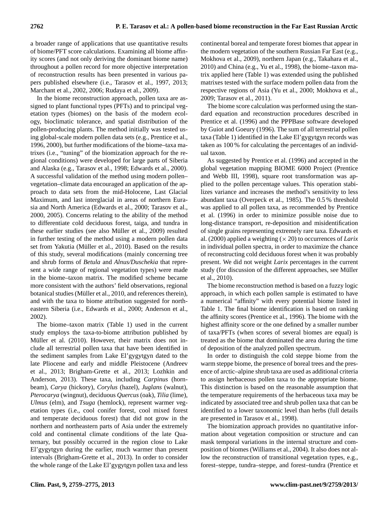a broader range of applications that use quantitative results of biome/PFT score calculations. Examining all biome affinity scores (and not only deriving the dominant biome name) throughout a pollen record for more objective interpretation of reconstruction results has been presented in various papers published elsewhere (i.e., Tarasov et al., 1997, 2013; Marchant et al., 2002, 2006; Rudaya et al., 2009).

In the biome reconstruction approach, pollen taxa are assigned to plant functional types (PFTs) and to principal vegetation types (biomes) on the basis of the modern ecology, bioclimatic tolerance, and spatial distribution of the pollen-producing plants. The method initially was tested using global-scale modern pollen data sets (e.g., Prentice et al., 1996, 2000), but further modifications of the biome–taxa matrixes (i.e., "tuning" of the biomization approach for the regional conditions) were developed for large parts of Siberia and Alaska (e.g., Tarasov et al., 1998; Edwards et al., 2000). A successful validation of the method using modern pollen– vegetation–climate data encouraged an application of the approach to data sets from the mid-Holocene, Last Glacial Maximum, and last interglacial in areas of northern Eurasia and North America (Edwards et al., 2000; Tarasov et al., 2000, 2005). Concerns relating to the ability of the method to differentiate cold deciduous forest, taiga, and tundra in these earlier studies (see also Müller et al., 2009) resulted in further testing of the method using a modern pollen data set from Yakutia (Müller et al., 2010). Based on the results of this study, several modifications (mainly concerning tree and shrub forms of *Betula* and *Alnus/Duschekia* that represent a wide range of regional vegetation types) were made in the biome–taxon matrix. The modified scheme became more consistent with the authors' field observations, regional botanical studies (Müller et al., 2010, and references therein), and with the taxa to biome attribution suggested for northeastern Siberia (i.e., Edwards et al., 2000; Anderson et al., 2002).

The biome–taxon matrix (Table 1) used in the current study employs the taxa-to-biome attribution published by Müller et al. (2010). However, their matrix does not include all terrestrial pollen taxa that have been identified in the sediment samples from Lake El'gygytgyn dated to the late Pliocene and early and middle Pleistocene (Andreev et al., 2013; Brigham-Grette et al., 2013; Lozhkin and Anderson, 2013). These taxa, including *Carpinus* (hornbeam), *Carya* (hickory), *Corylus* (hazel), *Juglans* (walnut), *Pterocarya* (wingnut), deciduous *Quercus* (oak), *Tilia* (lime), *Ulmus* (elm), and *Tsuga* (hemlock), represent warmer vegetation types (i.e., cool conifer forest, cool mixed forest and temperate deciduous forest) that did not grow in the northern and northeastern parts of Asia under the extremely cold and continental climate conditions of the late Quaternary, but possibly occurred in the region close to Lake El'gygytgyn during the earlier, much warmer than present intervals (Brigham-Grette et al., 2013). In order to consider the whole range of the Lake El'gygytgyn pollen taxa and less continental boreal and temperate forest biomes that appear in the modern vegetation of the southern Russian Far East (e.g., Mokhova et al., 2009), northern Japan (e.g., Takahara et al., 2010) and China (e.g., Yu et al., 1998), the biome–taxon matrix applied here (Table 1) was extended using the published matrixes tested with the surface modern pollen data from the respective regions of Asia (Yu et al., 2000; Mokhova et al., 2009; Tarasov et al., 2011).

The biome score calculation was performed using the standard equation and reconstruction procedures described in Prentice et al. (1996) and the PPPBase software developed by Guiot and Goeury (1996). The sum of all terrestrial pollen taxa (Table 1) identified in the Lake El'gygytgyn records was taken as 100 % for calculating the percentages of an individual taxon.

As suggested by Prentice et al. (1996) and accepted in the global vegetation mapping BIOME 6000 Project (Prentice and Webb III, 1998), square root transformation was applied to the pollen percentage values. This operation stabilizes variance and increases the method's sensitivity to less abundant taxa (Overpeck et al., 1985). The 0.5 % threshold was applied to all pollen taxa, as recommended by Prentice et al. (1996) in order to minimize possible noise due to long-distance transport, re-deposition and misidentification of single grains representing extremely rare taxa. Edwards et al. (2000) applied a weighting (× 20) to occurrences of *Larix* in individual pollen spectra, in order to maximize the chance of reconstructing cold deciduous forest when it was probably present. We did not weight *Larix* percentages in the current study (for discussion of the different approaches, see Müller et al., 2010).

The biome reconstruction method is based on a fuzzy logic approach, in which each pollen sample is estimated to have a numerical "affinity" with every potential biome listed in Table 1. The final biome identification is based on ranking the affinity scores (Prentice et al., 1996). The biome with the highest affinity score or the one defined by a smaller number of taxa/PFTs (when scores of several biomes are equal) is treated as the biome that dominated the area during the time of deposition of the analyzed pollen spectrum.

In order to distinguish the cold steppe biome from the warm steppe biome, the presence of boreal trees and the presence of arctic–alpine shrub taxa are used as additional criteria to assign herbaceous pollen taxa to the appropriate biome. This distinction is based on the reasonable assumption that the temperature requirements of the herbaceous taxa may be indicated by associated tree and shrub pollen taxa that can be identified to a lower taxonomic level than herbs (full details are presented in Tarasov et al., 1998).

The biomization approach provides no quantitative information about vegetation composition or structure and can mask temporal variations in the internal structure and composition of biomes (Williams et al., 2004). It also does not allow the reconstruction of transitional vegetation types, e.g., forest–steppe, tundra–steppe, and forest–tundra (Prentice et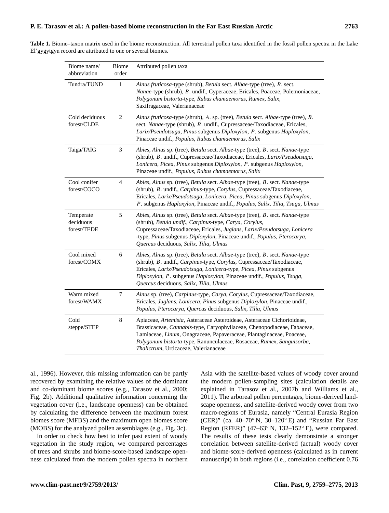**Table 1.** Biome–taxon matrix used in the biome reconstruction. All terrestrial pollen taxa identified in the fossil pollen spectra in the Lake El'gygytgyn record are attributed to one or several biomes.

| Biome name/<br>abbreviation           | <b>Biome</b><br>order | Attributed pollen taxa                                                                                                                                                                                                                                                                                                                       |
|---------------------------------------|-----------------------|----------------------------------------------------------------------------------------------------------------------------------------------------------------------------------------------------------------------------------------------------------------------------------------------------------------------------------------------|
| Tundra/TUND                           | 1                     | Alnus fruticosa-type (shrub), Betula sect. Albae-type (tree), B. sect.<br>Nanae-type (shrub), B. undif., Cyperaceae, Ericales, Poaceae, Polemoniaceae,<br>Polygonum bistorta-type, Rubus chamaemorus, Rumex, Salix,<br>Saxifragaceae, Valerianaceae                                                                                          |
| Cold deciduous<br>forest/CLDE         | 2                     | Alnus fruticosa-type (shrub), A. sp. (tree), Betula sect. Albae-type (tree), B.<br>sect. Nanae-type (shrub), B. undif., Cupressaceae/Taxodiaceae, Ericales,<br>Larix/Pseudotsuga, Pinus subgenus Diploxylon, P. subgenus Haploxylon,<br>Pinaceae undif., Populus, Rubus chamaemorus, Salix                                                   |
| Taiga/TAIG                            | 3                     | Abies, Alnus sp. (tree), Betula sect. Albae-type (tree), B. sect. Nanae-type<br>(shrub), B. undif., Cupressaceae/Taxodiaceae, Ericales, Larix/Pseudotsuga,<br>Lonicera, Picea, Pinus subgenus Diploxylon, P. subgenus Haploxylon,<br>Pinaceae undif., Populus, Rubus chamaemorus, Salix                                                      |
| Cool conifer<br>forest/COCO           | $\overline{4}$        | Abies, Alnus sp. (tree), Betula sect. Albae-type (tree), B. sect. Nanae-type<br>(shrub), B. undif., Carpinus-type, Corylus, Cupressaceae/Taxodiaceae,<br>Ericales, Larix/Pseudotsuga, Lonicera, Picea, Pinus subgenus Diploxylon,<br>P. subgenus Haploxylon, Pinaceae undif., Populus, Salix, Tilia, Tsuga, Ulmus                            |
| Temperate<br>deciduous<br>forest/TEDE | 5                     | Abies, Alnus sp. (tree), Betula sect. Albae-type (tree), B. sect. Nanae-type<br>(shrub), Betula undif., Carpinus-type, Carya, Corylus,<br>Cupressaceae/Taxodiaceae, Ericales, Juglans, Larix/Pseudotsuga, Lonicera<br>-type, Pinus subgenus Diploxylon, Pinaceae undif., Populus, Pterocarya,<br>Quercus deciduous, Salix, Tilia, Ulmus      |
| Cool mixed<br>forest/COMX             | 6                     | Abies, Alnus sp. (tree), Betula sect. Albae-type (tree), B. sect. Nanae-type<br>(shrub), B. undif., Carpinus-type, Corylus, Cupressaceae/Taxodiaceae,<br>Ericales, Larix/Pseudotsuga, Lonicera-type, Picea, Pinus subgenus<br>Diploxylon, P. subgenus Haploxylon, Pinaceae undif., Populus, Tsuga,<br>Quercus deciduous, Salix, Tilia, Ulmus |
| Warm mixed<br>forest/WAMX             | $\tau$                | Alnus sp. (tree), Carpinus-type, Carya, Corylus, Cupressaceae/Taxodiaceae,<br>Ericales, Juglans, Lonicera, Pinus subgenus Diploxylon, Pinaceae undif.,<br>Populus, Pterocarya, Quercus deciduous, Salix, Tilia, Ulmus                                                                                                                        |
| Cold<br>steppe/STEP                   | $\,8\,$               | Apiaceae, Artemisia, Asteraceae Asteroideae, Asteraceae Cichorioideae,<br>Brassicaceae, Cannabis-type, Caryophyllaceae, Chenopodiaceae, Fabaceae,<br>Lamiaceae, Linum, Onagraceae, Papaveraceae, Plantaginaceae, Poaceae,<br>Polygonum bistorta-type, Ranunculaceae, Rosaceae, Rumex, Sanguisorba,<br>Thalictrum, Urticaceae, Valerianaceae  |

al., 1996). However, this missing information can be partly recovered by examining the relative values of the dominant and co-dominant biome scores (e.g., Tarasov et al., 2000; Fig. 2b). Additional qualitative information concerning the vegetation cover (i.e., landscape openness) can be obtained by calculating the difference between the maximum forest biomes score (MFBS) and the maximum open biomes score (MOBS) for the analyzed pollen assemblages (e.g., Fig. 3c).

In order to check how best to infer past extent of woody vegetation in the study region, we compared percentages of trees and shrubs and biome-score-based landscape openness calculated from the modern pollen spectra in northern Asia with the satellite-based values of woody cover around the modern pollen-sampling sites (calculation details are explained in Tarasov et al., 2007b and Williams et al., 2011). The arboreal pollen percentages, biome-derived landscape openness, and satellite-derived woody cover from two macro-regions of Eurasia, namely "Central Eurasia Region (CER)" (ca.  $40-70°$  N,  $30-120°$  E) and "Russian Far East Region (RFER)" (47–63◦ N, 132–152◦ E), were compared. The results of these tests clearly demonstrate a stronger correlation between satellite-derived (actual) woody cover and biome-score-derived openness (calculated as in current manuscript) in both regions (i.e., correlation coefficient 0.76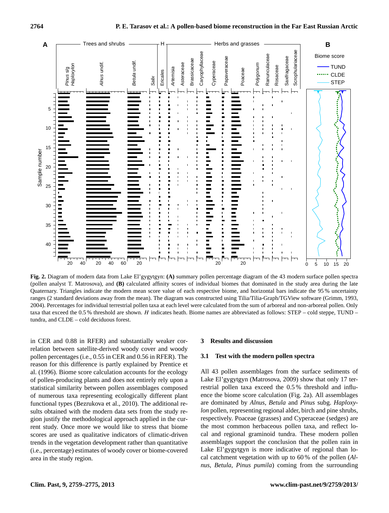

**Fig. 2.** Diagram of modern data from Lake El'gygytgyn: **(A)** summary pollen percentage diagram of the 43 modern surface pollen spectra (pollen analyst T. Matrosova), and **(B)** calculated affinity scores of individual biomes that dominated in the study area during the late Quaternary. Triangles indicate the modern mean score value of each respective biome, and horizontal bars indicate the 95 % uncertainty ranges (2 standard deviations away from the mean). The diagram was constructed using Tilia/Tilia-Graph/TGView software (Grimm, 1993, 2004). Percentages for individual terrestrial pollen taxa at each level were calculated from the sum of arboreal and non-arboreal pollen. Only taxa that exceed the 0.5 % threshold are shown. H indicates heath. Biome names are abbreviated as follows: STEP – cold steppe, TUND – tundra, and CLDE – cold deciduous forest.

pollen percentages (i.e., 0.55 in CER and 0.56 in RFER). The in CER and 0.88 in RFER) and substantially weaker correlation between satellite-derived woody cover and woody reason for this difference is partly explained by Prentice et al. (1996). Biome score calculation accounts for the ecology of pollen-producing plants and does not entirely rely upon a statistical similarity between pollen assemblages composed of numerous taxa representing ecologically different plant functional types (Bezrukova et al., 2010). The additional results obtained with the modern data sets from the study region justify the methodological approach applied in the current study. Once more we would like to stress that biome scores are used as qualitative indicators of climatic-driven trends in the vegetation development rather than quantitative (i.e., percentage) estimates of woody cover or biome-covered area in the study region.

#### **3 Results and discussion**

#### **3.1 Test with the modern pollen spectra**

All 43 pollen assemblages from the surface sediments of Lake El'gygytgyn (Matrosova, 2009) show that only 17 terrestrial pollen taxa exceed the 0.5 % threshold and influence the biome score calculation (Fig. 2a). All assemblages are dominated by *Alnus*, *Betula* and *Pinus* subg. *Haploxylon* pollen, representing regional alder, birch and pine shrubs, respectively. Poaceae (grasses) and Cyperaceae (sedges) are the most common herbaceous pollen taxa, and reflect local and regional graminoid tundra. These modern pollen assemblages support the conclusion that the pollen rain in Lake El'gygytgyn is more indicative of regional than local catchment vegetation with up to 60 % of the pollen (*Alnus*, *Betula*, *Pinus pumila*) coming from the surrounding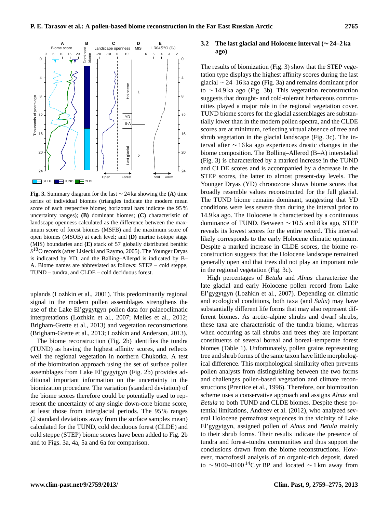

**Fig. 3.** Summary diagram for the last ∼ 24 ka showing the **(A)** time series of individual biomes (triangles indicate the modern mean score of each respective biome; horizontal bars indicate the 95 % uncertainty ranges); **(B)** dominant biomes; **(C)** characteristic of landscape openness calculated as the difference between the maximum score of forest biomes (MSFB) and the maximum score of open biomes (MSOB) at each level; and **(D)** marine isotope stage (MIS) boundaries and **(E)** stack of 57 globally distributed benthic  $\delta^{18}$ O records (after Lisiecki and Raymo, 2005). The Younger Dryas is indicated by YD, and the Bølling–Allerød is indicated by B– A. Biome names are abbreviated as follows: STEP – cold steppe, TUND – tundra, and CLDE – cold deciduous forest.

uplands (Lozhkin et al., 2001). This predominantly regional signal in the modern pollen assemblages strengthens the use of the Lake El'gygytgyn pollen data for palaeoclimatic interpretations (Lozhkin et al., 2007; Melles et al., 2012; Brigham-Grette et al., 2013) and vegetation reconstructions (Brigham-Grette et al., 2013; Lozhkin and Anderson, 2013).

The biome reconstruction (Fig. 2b) identifies the tundra (TUND) as having the highest affinity scores, and reflects well the regional vegetation in northern Chukotka. A test of the biomization approach using the set of surface pollen assemblages from Lake El'gygytgyn (Fig. 2b) provides additional important information on the uncertainty in the biomization procedure. The variation (standard deviation) of the biome scores therefore could be potentially used to represent the uncertainty of any single down-core biome score, at least those from interglacial periods. The 95 % ranges (2 standard deviations away from the surface samples mean) calculated for the TUND, cold deciduous forest (CLDE) and cold steppe (STEP) biome scores have been added to Fig. 2b and to Figs. 3a, 4a, 5a and 6a for comparison.

# **3.2 The last glacial and Holocene interval (**∼ **24–2 ka ago)**

The results of biomization (Fig. 3) show that the STEP vegetation type displays the highest affinity scores during the last glacial ∼ 24–16 ka ago (Fig. 3a) and remains dominant prior to ∼ 14.9 ka ago (Fig. 3b). This vegetation reconstruction suggests that drought- and cold-tolerant herbaceous communities played a major role in the regional vegetation cover. TUND biome scores for the glacial assemblages are substantially lower than in the modern pollen spectra, and the CLDE scores are at minimum, reflecting virtual absence of tree and shrub vegetation in the glacial landscape (Fig. 3c). The interval after ∼ 16 ka ago experiences drastic changes in the biome composition. The Bølling–Allerød (B–A) interstadial (Fig. 3) is characterized by a marked increase in the TUND and CLDE scores and is accompanied by a decrease in the STEP scores, the latter to almost present-day levels. The Younger Dryas (YD) chronozone shows biome scores that broadly resemble values reconstructed for the full glacial. The TUND biome remains dominant, suggesting that YD conditions were less severe than during the interval prior to 14.9 ka ago. The Holocene is characterized by a continuous dominance of TUND. Between  $\sim$  10.5 and 8 ka ago, STEP reveals its lowest scores for the entire record. This interval likely corresponds to the early Holocene climatic optimum. Despite a marked increase in CLDE scores, the biome reconstruction suggests that the Holocene landscape remained generally open and that trees did not play an important role in the regional vegetation (Fig. 3c).

High percentages of *Betula* and *Alnus* characterize the late glacial and early Holocene pollen record from Lake El'gygytgyn (Lozhkin et al., 2007). Depending on climatic and ecological conditions, both taxa (and *Salix*) may have substantially different life forms that may also represent different biomes. As arctic–alpine shrubs and dwarf shrubs, these taxa are characteristic of the tundra biome, whereas when occurring as tall shrubs and trees they are important constituents of several boreal and boreal–temperate forest biomes (Table 1). Unfortunately, pollen grains representing tree and shrub forms of the same taxon have little morphological difference. This morphological similarity often prevents pollen analysts from distinguishing between the two forms and challenges pollen-based vegetation and climate reconstructions (Prentice et al., 1996). Therefore, our biomization scheme uses a conservative approach and assigns *Alnus* and *Betula* to both TUND and CLDE biomes. Despite these potential limitations, Andreev et al. (2012), who analyzed several Holocene permafrost sequences in the vicinity of Lake El'gygytgyn, assigned pollen of *Alnus* and *Betula* mainly to their shrub forms. Their results indicate the presence of tundra and forest–tundra communities and thus support the conclusions drawn from the biome reconstructions. However, macrofossil analysis of an organic-rich deposit, dated to ∼9100–8100<sup>14</sup>C yr BP and located ∼1 km away from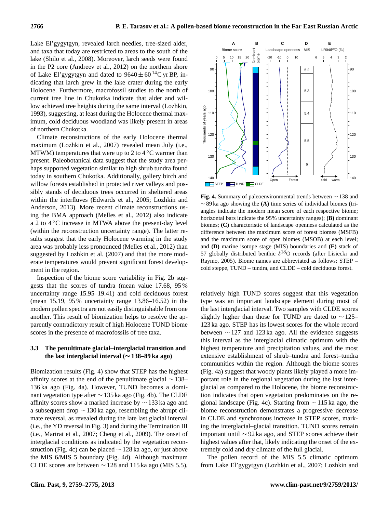Lake El'gygytgyn, revealed larch needles, tree-sized alder, and taxa that today are restricted to areas to the south of the lake (Shilo et al., 2008). Moreover, larch seeds were found in the P2 core (Andreev et al., 2012) on the northern shore of Lake El'gygytgyn and dated to  $9640 \pm 60^{14}$ C yr BP, indicating that larch grew in the lake crater during the early Holocene. Furthermore, macrofossil studies to the north of current tree line in Chukotka indicate that alder and willow achieved tree heights during the same interval (Lozhkin, 1993), suggesting, at least during the Holocene thermal maximum, cold deciduous woodland was likely present in areas of northern Chukotka.

Climate reconstructions of the early Holocene thermal maximum (Lozhkin et al., 2007) revealed mean July (i.e., MTWM) temperatures that were up to 2 to  $4 °C$  warmer than present. Paleobotanical data suggest that the study area perhaps supported vegetation similar to high shrub tundra found today in southern Chukotka. Additionally, gallery birch and willow forests established in protected river valleys and possibly stands of deciduous trees occurred in sheltered areas within the interfluves (Edwards et al., 2005; Lozhkin and Anderson, 2013). More recent climate reconstructions using the BMA approach (Melles et al., 2012) also indicate a 2 to 4 ◦C increase in MTWA above the present-day level (within the reconstruction uncertainty range). The latter results suggest that the early Holocene warming in the study area was probably less pronounced (Melles et al., 2012) than suggested by Lozhkin et al. (2007) and that the more moderate temperatures would prevent significant forest development in the region.

Inspection of the biome score variability in Fig. 2b suggests that the scores of tundra (mean value 17.68, 95 % uncertainty range 15.95–19.41) and cold deciduous forest (mean 15.19, 95 % uncertainty range 13.86–16.52) in the modern pollen spectra are not easily distinguishable from one another. This result of biomization helps to resolve the apparently contradictory result of high Holocene TUND biome scores in the presence of macrofossils of tree taxa.

# **3.3 The penultimate glacial–interglacial transition and the last interglacial interval (**∼ **138–89 ka ago)**

Biomization results (Fig. 4) show that STEP has the highest affinity scores at the end of the penultimate glacial ∼ 138– 136 ka ago (Fig. 4a). However, TUND becomes a dominant vegetation type after ∼ 135 ka ago (Fig. 4b). The CLDE affinity scores show a marked increase by ∼ 133 ka ago and a subsequent drop ∼ 130 ka ago, resembling the abrupt climate reversal, as revealed during the late last glacial interval (i.e., the YD reversal in Fig. 3) and during the Termination III (i.e., Martrat et al., 2007; Cheng et al., 2009). The onset of interglacial conditions as indicated by the vegetation reconstruction (Fig. 4c) can be placed  $\sim$  128 ka ago, or just above the MIS 6/MIS 5 boundary (Fig. 4d). Although maximum CLDE scores are between  $\sim$  128 and 115 ka ago (MIS 5.5),



**Fig. 4.** Summary of paleoenvironmental trends between ∼ 138 and ∼ 89 ka ago showing the **(A)** time series of individual biomes (triangles indicate the modern mean score of each respective biome; horizontal bars indicate the 95% uncertainty ranges); **(B)** dominant biomes; **(C)** characteristic of landscape openness calculated as the difference between the maximum score of forest biomes (MSFB) and the maximum score of open biomes (MSOB) at each level; and **(D)** marine isotope stage (MIS) boundaries and **(E)** stack of 57 globally distributed benthic  $\delta^{18}$ O records (after Lisiecki and Raymo, 2005). Biome names are abbreviated as follows: STEP – cold steppe, TUND – tundra, and CLDE – cold deciduous forest.

relatively high TUND scores suggest that this vegetation type was an important landscape element during most of the last interglacial interval. Two samples with CLDE scores slightly higher than those for TUND are dated to  $\sim$  125– 123 ka ago. STEP has its lowest scores for the whole record between  $\sim$  127 and 123 ka ago. All the evidence suggests this interval as the interglacial climatic optimum with the highest temperature and precipitation values, and the most extensive establishment of shrub–tundra and forest–tundra communities within the region. Although the biome scores (Fig. 4a) suggest that woody plants likely played a more important role in the regional vegetation during the last interglacial as compared to the Holocene, the biome reconstruction indicates that open vegetation predominates on the regional landscape (Fig. 4c). Starting from ∼ 115 ka ago, the biome reconstruction demonstrates a progressive decrease in CLDE and synchronous increase in STEP scores, marking the interglacial–glacial transition. TUND scores remain important until ∼ 92 ka ago, and STEP scores achieve their highest values after that, likely indicating the onset of the extremely cold and dry climate of the full glacial.

The pollen record of the MIS 5.5 climatic optimum from Lake El'gygytgyn (Lozhkin et al., 2007; Lozhkin and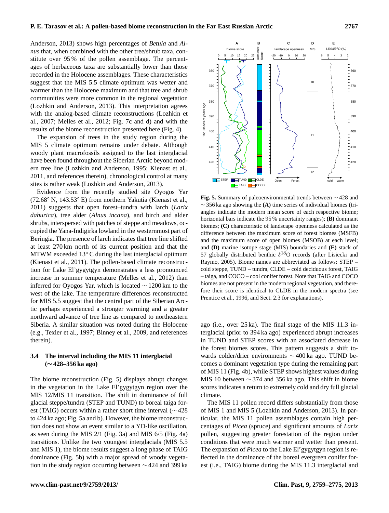Anderson, 2013) shows high percentages of *Betula* and *Alnus* that, when combined with the other tree/shrub taxa, constitute over 95 % of the pollen assemblage. The percentages of herbaceous taxa are substantially lower than those recorded in the Holocene assemblages. These characteristics suggest that the MIS 5.5 climate optimum was wetter and warmer than the Holocene maximum and that tree and shrub communities were more common in the regional vegetation (Lozhkin and Anderson, 2013). This interpretation agrees with the analog-based climate reconstructions (Lozhkin et al., 2007; Melles et al., 2012; Fig. 7c and d) and with the results of the biome reconstruction presented here (Fig. 4).

The expansion of trees in the study region during the MIS 5 climate optimum remains under debate. Although woody plant macrofossils assigned to the last interglacial have been found throughout the Siberian Arctic beyond modern tree line (Lozhkin and Anderson, 1995; Kienast et al., 2011, and references therein), chronological control at many sites is rather weak (Lozhkin and Anderson, 2013).

Evidence from the recently studied site Oyogos Yar (72.68◦ N, 143.53◦ E) from northern Yakutia (Kienast et al., 2011) suggests that open forest–tundra with larch (*Larix dahurica*), tree alder (*Alnus incana*), and birch and alder shrubs, interspersed with patches of steppe and meadows, occupied the Yana-Indigirka lowland in the westernmost part of Beringia. The presence of larch indicates that tree line shifted at least 270 km north of its current position and that the MTWM exceeded 13° C during the last interglacial optimum (Kienast et al., 2011). The pollen-based climate reconstruction for Lake El'gygytgyn demonstrates a less pronounced increase in summer temperature (Melles et al., 2012) than inferred for Oyogos Yar, which is located ∼ 1200 km to the west of the lake. The temperature differences reconstructed for MIS 5.5 suggest that the central part of the Siberian Arctic perhaps experienced a stronger warming and a greater northward advance of tree line as compared to northeastern Siberia. A similar situation was noted during the Holocene (e.g., Texier et al., 1997; Binney et al., 2009, and references therein).

# **3.4 The interval including the MIS 11 interglacial (**∼ **428–356 ka ago)**

The biome reconstruction (Fig. 5) displays abrupt changes in the vegetation in the Lake El'gygytgyn region over the MIS 12/MIS 11 transition. The shift in dominance of full glacial steppe/tundra (STEP and TUND) to boreal taiga forest (TAIG) occurs within a rather short time interval (∼ 428 to 424 ka ago; Fig. 5a and b). However, the biome reconstruction does not show an event similar to a YD-like oscillation, as seen during the MIS 2/1 (Fig. 3a) and MIS 6/5 (Fig. 4a) transitions. Unlike the two youngest interglacials (MIS 5.5 and MIS 1), the biome results suggest a long phase of TAIG dominance (Fig. 5b) with a major spread of woody vegetation in the study region occurring between ∼ 424 and 399 ka



horizontal bars indicate the 95 % uncertainty ranges); **(B)** dominant **Fig. 5.** Summary of paleoenvironmental trends between ∼ 428 and ∼ 356 ka ago showing the **(A)** time series of individual biomes (triangles indicate the modern mean score of each respective biome; biomes; **(C)** characteristic of landscape openness calculated as the difference between the maximum score of forest biomes (MSFB) and the maximum score of open biomes (MSOB) at each level; and **(D)** marine isotope stage (MIS) boundaries and **(E)** stack of 57 globally distributed benthic  $\delta^{18}$ O records (after Lisiecki and Raymo, 2005). Biome names are abbreviated as follows: STEP – cold steppe, TUND – tundra, CLDE – cold deciduous forest, TAIG – taiga, and COCO – cool conifer forest. Note that TAIG and COCO biomes are not present in the modern regional vegetation, and therefore their score is identical to CLDE in the modern spectra (see Prentice et al., 1996, and Sect. 2.3 for explanations).

ago (i.e., over 25 ka). The final stage of the MIS 11.3 interglacial (prior to 394 ka ago) experienced abrupt increases in TUND and STEP scores with an associated decrease in the forest biomes scores. This pattern suggests a shift towards colder/drier environments ∼ 400 ka ago. TUND becomes a dominant vegetation type during the remaining part of MIS 11 (Fig. 4b), while STEP shows highest values during MIS 10 between ∼ 374 and 356 ka ago. This shift in biome scores indicates a return to extremely cold and dry full glacial climate.

The MIS 11 pollen record differs substantially from those of MIS 1 and MIS 5 (Lozhkin and Anderson, 2013). In particular, the MIS 11 pollen assemblages contain high percentages of *Picea* (spruce) and significant amounts of *Larix* pollen, suggesting greater forestation of the region under conditions that were much warmer and wetter than present. The expansion of *Picea* to the Lake El'gygytgyn region is reflected in the dominance of the boreal evergreen conifer forest (i.e., TAIG) biome during the MIS 11.3 interglacial and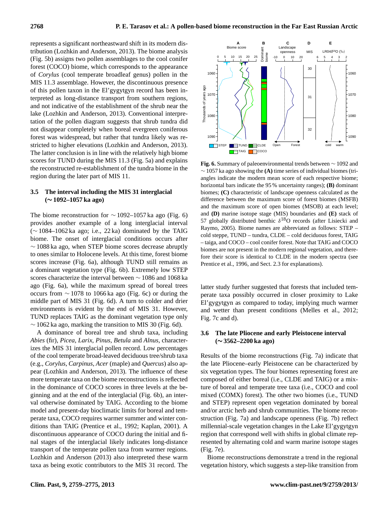represents a significant northeastward shift in its modern distribution (Lozhkin and Anderson, 2013). The biome analysis (Fig. 5b) assigns two pollen assemblages to the cool conifer forest (COCO) biome, which corresponds to the appearance of *Corylus* (cool temperate broadleaf genus) pollen in the MIS 11.3 assemblage. However, the discontinuous presence of this pollen taxon in the El'gygytgyn record has been interpreted as long-distance transport from southern regions, and not indicative of the establishment of the shrub near the lake (Lozhkin and Anderson, 2013). Conventional interpretation of the pollen diagram suggests that shrub tundra did not disappear completely when boreal evergreen coniferous forest was widespread, but rather that tundra likely was restricted to higher elevations (Lozhkin and Anderson, 2013). The latter conclusion is in line with the relatively high biome scores for TUND during the MIS 11.3 (Fig. 5a) and explains the reconstructed re-establishment of the tundra biome in the region during the later part of MIS 11.

# **3.5 The interval including the MIS 31 interglacial (**∼ **1092–1057 ka ago)**

The biome reconstruction for  $\sim$  1092–1057 ka ago (Fig. 6) provides another example of a long interglacial interval (∼ 1084–1062 ka ago; i.e., 22 ka) dominated by the TAIG biome. The onset of interglacial conditions occurs after  $\sim$  1088 ka ago, when STEP biome scores decrease abruptly to ones similar to Holocene levels. At this time, forest biome scores increase (Fig. 6a), although TUND still remains as a dominant vegetation type (Fig. 6b). Extremely low STEP scores characterize the interval between ∼ 1086 and 1068 ka ago (Fig. 6a), while the maximum spread of boreal trees occurs from ∼ 1078 to 1066 ka ago (Fig. 6c) or during the middle part of MIS 31 (Fig. 6d). A turn to colder and drier environments is evident by the end of MIS 31. However, TUND replaces TAIG as the dominant vegetation type only  $\sim$  1062 ka ago, marking the transition to MIS 30 (Fig. 6d).

A dominance of boreal tree and shrub taxa, including *Abies* (fir), *Picea*, *Larix*, *Pinus*, *Betula* and *Alnus*, characterizes the MIS 31 interglacial pollen record. Low percentages of the cool temperate broad-leaved deciduous tree/shrub taxa (e.g., *Corylus*, *Carpinus*, *Acer* (maple) and *Quercus*) also appear (Lozhkin and Anderson, 2013). The influence of these more temperate taxa on the biome reconstructions is reflected in the dominance of COCO scores in three levels at the beginning and at the end of the interglacial (Fig. 6b), an interval otherwise dominated by TAIG. According to the biome model and present-day bioclimatic limits for boreal and temperate taxa, COCO requires warmer summer and winter conditions than TAIG (Prentice et al., 1992; Kaplan, 2001). A discontinuous appearance of COCO during the initial and final stages of the interglacial likely indicates long-distance transport of the temperate pollen taxa from warmer regions. Lozhkin and Anderson (2013) also interpreted these warm taxa as being exotic contributors to the MIS 31 record. The



cold steppe, TUND – tundra, CLDE – cold deciduous forest, TAIG **Fig. 6.** Summary of paleoenvironmental trends between ∼ 1092 and ∼ 1057 ka ago showing the **(A)** time series of individual biomes (triangles indicate the modern mean score of each respective biome; horizontal bars indicate the 95 % uncertainty ranges); **(B)** dominant biomes; **(C)** characteristic of landscape openness calculated as the difference between the maximum score of forest biomes (MSFB) and the maximum score of open biomes (MSOB) at each level; and **(D)** marine isotope stage (MIS) boundaries and **(E)** stack of 57 globally distributed benthic  $\delta^{18}$ O records (after Lisiecki and Raymo, 2005). Biome names are abbreviated as follows: STEP – – taiga, and COCO – cool conifer forest. Note that TAIG and COCO biomes are not present in the modern regional vegetation, and therefore their score is identical to CLDE in the modern spectra (see Prentice et al., 1996, and Sect. 2.3 for explanations).

latter study further suggested that forests that included temperate taxa possibly occurred in closer proximity to Lake El'gygytgyn as compared to today, implying much warmer and wetter than present conditions (Melles et al., 2012; Fig. 7c and d).

# **3.6 The late Pliocene and early Pleistocene interval (**∼ **3562–2200 ka ago)**

Results of the biome reconstructions (Fig. 7a) indicate that the late Pliocene–early Pleistocene can be characterized by six vegetation types. The four biomes representing forest are composed of either boreal (i.e., CLDE and TAIG) or a mixture of boreal and temperate tree taxa (i.e., COCO and cool mixed (COMX) forest). The other two biomes (i.e., TUND and STEP) represent open vegetation dominated by boreal and/or arctic herb and shrub communities. The biome reconstruction (Fig. 7a) and landscape openness (Fig. 7b) reflect millennial-scale vegetation changes in the Lake El'gygytgyn region that correspond well with shifts in global climate represented by alternating cold and warm marine isotope stages (Fig. 7e).

Biome reconstructions demonstrate a trend in the regional vegetation history, which suggests a step-like transition from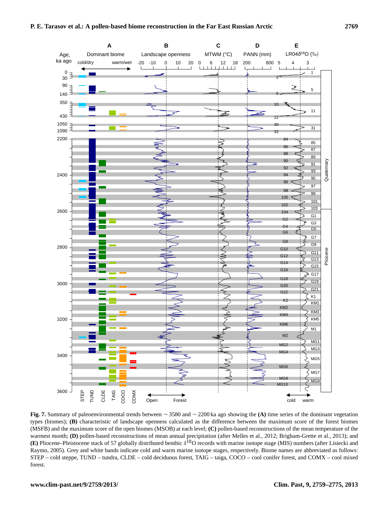

warmest month; **(D)** pollen-based reconstructions of mean annual precipitation (after Melles et al., 2012; Brigham-Grette et al., 2013); and **Fig. 7.** Summary of paleoenvironmental trends between ∼ 3580 and ∼ 2200 ka ago showing the **(A)** time series of the dominant vegetation types (biomes); **(B)** characteristic of landscape openness calculated as the difference between the maximum score of the forest biomes (MSFB) and the maximum score of the open biomes (MSOB) at each level; **(C)** pollen-based reconstructions of the mean temperature of the **(E)** Pliocene–Pleistocene stack of 57 globally distributed benthic  $\delta^{18}$ O records with marine isotope stage (MIS) numbers (after Lisiecki and Raymo, 2005). Grey and white bands indicate cold and warm marine isotope stages, respectively. Biome names are abbreviated as follows: STEP – cold steppe, TUND – tundra, CLDE – cold deciduous forest, TAIG – taiga, COCO – cool conifer forest, and COMX – cool mixed forest.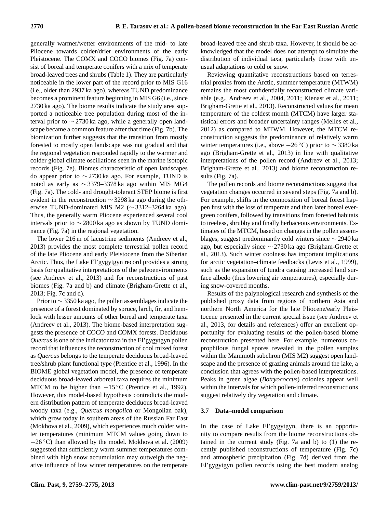generally warmer/wetter environments of the mid- to late Pliocene towards colder/drier environments of the early Pleistocene. The COMX and COCO biomes (Fig. 7a) consist of boreal and temperate conifers with a mix of temperate broad-leaved trees and shrubs (Table 1). They are particularly noticeable in the lower part of the record prior to MIS G16 (i.e., older than 2937 ka ago), whereas TUND predominance becomes a prominent feature beginning in MIS G6 (i.e., since 2730 ka ago). The biome results indicate the study area supported a noticeable tree population during most of the interval prior to ∼ 2730 ka ago, while a generally open landscape became a common feature after that time (Fig. 7b). The biomization further suggests that the transition from mostly forested to mostly open landscape was not gradual and that the regional vegetation responded rapidly to the warmer and colder global climate oscillations seen in the marine isotopic records (Fig. 7e). Biomes characteristic of open landscapes do appear prior to ∼ 2730 ka ago. For example, TUND is noted as early as ∼ 3379–3378 ka ago within MIS MG4 (Fig. 7a). The cold- and drought-tolerant STEP biome is first evident in the reconstruction ∼ 3298 ka ago during the otherwise TUND-dominated MIS M2 (∼ 3312–3264 ka ago). Thus, the generally warm Pliocene experienced several cool intervals prior to ∼ 2800 ka ago as shown by TUND dominance (Fig. 7a) in the regional vegetation.

The lower 216 m of lacustrine sediments (Andreev et al., 2013) provides the most complete terrestrial pollen record of the late Pliocene and early Pleistocene from the Siberian Arctic. Thus, the Lake El'gygytgyn record provides a strong basis for qualitative interpretations of the paleoenvironments (see Andreev et al., 2013) and for reconstructions of past biomes (Fig. 7a and b) and climate (Brigham-Grette et al., 2013; Fig. 7c and d).

Prior to ∼ 3350 ka ago, the pollen assemblages indicate the presence of a forest dominated by spruce, larch, fir, and hemlock with lesser amounts of other boreal and temperate taxa (Andreev et al., 2013). The biome-based interpretation suggests the presence of COCO and COMX forests. Deciduous *Quercus* is one of the indicator taxa in the El'gygytgyn pollen record that influences the reconstruction of cool mixed forest as *Quercus* belongs to the temperate deciduous broad-leaved tree/shrub plant functional type (Prentice et al., 1996). In the BIOME global vegetation model, the presence of temperate deciduous broad-leaved arboreal taxa requires the minimum MTCM to be higher than  $-15\degree$ C (Prentice et al., 1992). However, this model-based hypothesis contradicts the modern distribution pattern of temperate deciduous broad-leaved woody taxa (e.g., *Quercus mongolica* or Mongolian oak), which grow today in southern areas of the Russian Far East (Mokhova et al., 2009), which experiences much colder winter temperatures (minimum MTCM values going down to −26 ◦C) than allowed by the model. Mokhova et al. (2009) suggested that sufficiently warm summer temperatures combined with high snow accumulation may outweigh the negative influence of low winter temperatures on the temperate broad-leaved tree and shrub taxa. However, it should be acknowledged that the model does not attempt to simulate the distribution of individual taxa, particularly those with unusual adaptations to cold or snow.

Reviewing quantitative reconstructions based on terrestrial proxies from the Arctic, summer temperature (MTWM) remains the most confidentially reconstructed climate variable (e.g., Andreev et al., 2004, 2011; Kienast et al., 2011; Brigham-Grette et al., 2013). Reconstructed values for mean temperature of the coldest month (MTCM) have larger statistical errors and broader uncertainty ranges (Melles et al., 2012) as compared to MTWM. However, the MTCM reconstruction suggests the predominance of relatively warm winter temperatures (i.e., above  $-26^{\circ}$ C) prior to  $\sim$  3380 ka ago (Brigham-Grette et al., 2013) in line with qualitative interpretations of the pollen record (Andreev et al., 2013; Brigham-Grette et al., 2013) and biome reconstruction results (Fig. 7a).

The pollen records and biome reconstructions suggest that vegetation changes occurred in several steps (Fig. 7a and b). For example, shifts in the composition of boreal forest happen first with the loss of temperate and then later boreal evergreen conifers, followed by transitions from forested habitats to treeless, shrubby and finally herbaceous environments. Estimates of the MTCM, based on changes in the pollen assemblages, suggest predominantly cold winters since ∼ 2940 ka ago, but especially since ∼ 2730 ka ago (Brigham-Grette et al., 2013). Such winter coolness has important implications for arctic vegetation–climate feedbacks (Levis et al., 1999), such as the expansion of tundra causing increased land surface albedo (thus lowering air temperatures), especially during snow-covered months.

Results of the palynological research and synthesis of the published proxy data from regions of northern Asia and northern North America for the late Pliocene/early Pleistocene presented in the current special issue (see Andreev et al., 2013, for details and references) offer an excellent opportunity for evaluating results of the pollen-based biome reconstruction presented here. For example, numerous coprophilous fungal spores revealed in the pollen samples within the Mammoth subchron (MIS M2) suggest open landscape and the presence of grazing animals around the lake, a conclusion that agrees with the pollen-based interpretations. Peaks in green algae (*Botryococcus*) colonies appear well within the intervals for which pollen-inferred reconstructions suggest relatively dry vegetation and climate.

# **3.7 Data–model comparison**

In the case of Lake El'gygytgyn, there is an opportunity to compare results from the biome reconstructions obtained in the current study (Fig. 7a and b) to (1) the recently published reconstructions of temperature (Fig. 7c) and atmospheric precipitation (Fig. 7d) derived from the El'gygytgyn pollen records using the best modern analog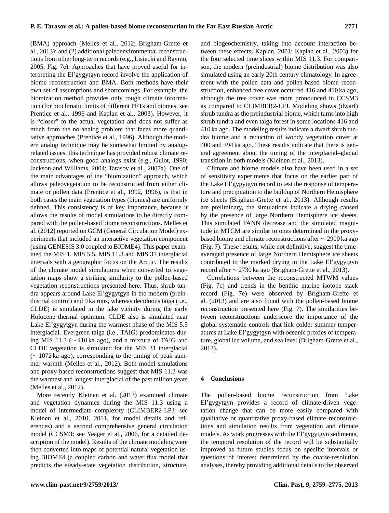(BMA) approach (Melles et al., 2012; Brigham-Grette et al., 2013); and (2) additional paleoenvironmental reconstructions from other long-term records (e.g., Lisiecki and Raymo, 2005, Fig. 7e). Approaches that have proved useful for interpreting the El'gygytgyn record involve the application of biome reconstruction and BMA. Both methods have their own set of assumptions and shortcomings. For example, the biomization method provides only rough climate information (for bioclimatic limits of different PFTs and biomes, see Prentice et al., 1996 and Kaplan et al., 2003). However, it is "closer" to the actual vegetation and does not suffer as much from the no-analog problem that faces more quantitative approaches (Prentice et al., 1996). Although the modern analog technique may be somewhat limited by analogrelated issues, this technique has provided robust climate reconstructions, when good analogs exist (e.g., Guiot, 1990; Jackson and Williams, 2004; Tarasov et al., 2007a). One of the main advantages of the "biomization" approach, which allows paleovegetation to be reconstructed from either climate or pollen data (Prentice et al., 1992, 1996), is that in both cases the main vegetation types (biomes) are uniformly defined. This consistency is of key importance, because it allows the results of model simulations to be directly compared with the pollen-based biome reconstructions. Melles et al. (2012) reported on GCM (General Circulation Model) experiments that included an interactive vegetation component (using GENESIS 3.0 coupled to BIOME4). This paper examined the MIS 1, MIS 5.5, MIS 11.3 and MIS 31 interglacial intervals with a geographic focus on the Arctic. The results of the climate model simulations when converted to vegetation maps show a striking similarity to the pollen-based vegetation reconstructions presented here. Thus, shrub tundra appears around Lake El'gygytgyn in the modern (preindustrial control) and 9 ka runs, whereas deciduous taiga (i.e., CLDE) is simulated in the lake vicinity during the early Holocene thermal optimum. CLDE also is simulated near Lake El'gygytgyn during the warmest phase of the MIS 5.5 interglacial. Evergreen taiga (i.e., TAIG) predominates during MIS 11.3 (∼ 410 ka ago), and a mixture of TAIG and CLDE vegetation is simulated for the MIS 31 interglacial (∼ 1072 ka ago), corresponding to the timing of peak summer warmth (Melles et al., 2012). Both model simulations and proxy-based reconstructions suggest that MIS 11.3 was the warmest and longest interglacial of the past million years (Melles et al., 2012).

More recently Kleinen et al. (2013) examined climate and vegetation dynamics during the MIS 11.3 using a model of intermediate complexity (CLIMBER2-LPJ; see Kleinen et al., 2010, 2011, for model details and references) and a second comprehensive general circulation model (CCSM3; see Yeager et al., 2006, for a detailed description of the model). Results of the climate modeling were then converted into maps of potential natural vegetation using BIOME4 (a coupled carbon and water flux model that predicts the steady-state vegetation distribution, structure, and biogeochemistry, taking into account interaction between these effects; Kaplan, 2001; Kaplan et al., 2003) for the four selected time slices within MIS 11.3. For comparison, the modern (preindustrial) biome distribution was also simulated using an early 20th century climatology. In agreement with the pollen data and pollen-based biome reconstruction, enhanced tree cover occurred 416 and 410 ka ago, although the tree cover was more pronounced in CCSM3 as compared to CLIMBER2-LPJ. Modeling shows (dwarf) shrub tundra as the preindustrial biome, which turns into high shrub tundra and even taiga forest in some locations 416 and 410 ka ago. The modeling results indicate a dwarf shrub tundra biome and a reduction of woody vegetation cover at 400 and 394 ka ago. These results indicate that there is general agreement about the timing of the interglacial–glacial transition in both models (Kleinen et al., 2013).

Climate and biome models also have been used in a set of sensitivity experiments that focus on the earlier part of the Lake El'gygytgyn record to test the response of temperature and precipitation to the buildup of Northern Hemisphere ice sheets (Brigham-Grette et al., 2013). Although results are preliminary, the simulations indicate a drying caused by the presence of large Northern Hemisphere ice sheets. This simulated PANN decrease and the simulated magnitude in MTCM are similar to ones determined in the proxybased biome and climate reconstructions after ∼ 2900 ka ago (Fig. 7). These results, while not definitive, suggest the timeaveraged presence of large Northern Hemisphere ice sheets contributed to the marked drying in the Lake El'gygytgyn record after ∼ 2730 ka ago (Brigham-Grette et al., 2013).

Correlations between the reconstructed MTWM values (Fig. 7c) and trends in the benthic marine isotope stack record (Fig. 7e) were observed by Brigham-Grette et al. (2013) and are also found with the pollen-based biome reconstruction presented here (Fig. 7). The similarities between reconstructions underscore the importance of the global systematic controls that link colder summer temperatures at Lake El'gygytgyn with oceanic proxies of temperature, global ice volume, and sea level (Brigham-Grette et al., 2013).

# **4 Conclusions**

The pollen-based biome reconstruction from Lake El'gygytgyn provides a record of climate-driven vegetation change that can be more easily compared with qualitative or quantitative proxy-based climate reconstructions and simulation results from vegetation and climate models. As work progresses with the El'gygytgyn sediments, the temporal resolution of the record will be substantially improved as future studies focus on specific intervals or questions of interest determined by the coarse-resolution analyses, thereby providing additional details to the observed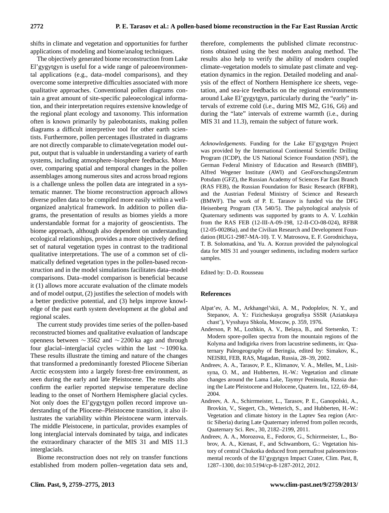shifts in climate and vegetation and opportunities for further applications of modeling and biome/analog techniques.

The objectively generated biome reconstruction from Lake El'gygytgyn is useful for a wide range of paleoenvironmental applications (e.g., data–model comparisons), and they overcome some interpretive difficulties associated with more qualitative approaches. Conventional pollen diagrams contain a great amount of site-specific paleoecological information, and their interpretation requires extensive knowledge of the regional plant ecology and taxonomy. This information often is known primarily by paleobotanists, making pollen diagrams a difficult interpretive tool for other earth scientists. Furthermore, pollen percentages illustrated in diagrams are not directly comparable to climate/vegetation model output, output that is valuable in understanding a variety of earth systems, including atmosphere–biosphere feedbacks. Moreover, comparing spatial and temporal changes in the pollen assemblages among numerous sites and across broad regions is a challenge unless the pollen data are integrated in a systematic manner. The biome reconstruction approach allows diverse pollen data to be compiled more easily within a wellorganized analytical framework. In addition to pollen diagrams, the presentation of results as biomes yields a more understandable format for a majority of geoscientists. The biome approach, although also dependent on understanding ecological relationships, provides a more objectively defined set of natural vegetation types in contrast to the traditional qualitative interpretations. The use of a common set of climatically defined vegetation types in the pollen-based reconstruction and in the model simulations facilitates data–model comparisons. Data–model comparison is beneficial because it (1) allows more accurate evaluation of the climate models and of model output, (2) justifies the selection of models with a better predictive potential, and (3) helps improve knowledge of the past earth system development at the global and regional scales.

The current study provides time series of the pollen-based reconstructed biomes and qualitative evaluation of landscape openness between ∼ 3562 and ∼ 2200 ka ago and through four glacial–interglacial cycles within the last ∼ 1090 ka. These results illustrate the timing and nature of the changes that transformed a predominantly forested Pliocene Siberian Arctic ecosystem into a largely forest-free environment, as seen during the early and late Pleistocene. The results also confirm the earlier reported stepwise temperature decline leading to the onset of Northern Hemisphere glacial cycles. Not only does the El'gygytgyn pollen record improve understanding of the Pliocene–Pleistocene transition, it also illustrates the variability within Pleistocene warm intervals. The middle Pleistocene, in particular, provides examples of long interglacial intervals dominated by taiga, and indicates the extraordinary character of the MIS 31 and MIS 11.3 interglacials.

Biome reconstruction does not rely on transfer functions established from modern pollen–vegetation data sets and, therefore, complements the published climate reconstructions obtained using the best modern analog method. The results also help to verify the ability of modern coupled climate–vegetation models to simulate past climate and vegetation dynamics in the region. Detailed modeling and analysis of the effect of Northern Hemisphere ice sheets, vegetation, and sea-ice feedbacks on the regional environments around Lake El'gygytgyn, particularly during the "early" intervals of extreme cold (i.e., during MIS M2, G16, G6) and during the "late" intervals of extreme warmth (i.e., during MIS 31 and 11.3), remain the subject of future work.

*Acknowledgements.* Funding for the Lake El'gygytgyn Project was provided by the International Continental Scientific Drilling Program (ICDP), the US National Science Foundation (NSF), the German Federal Ministry of Education and Research (BMBF), Alfred Wegener Institute (AWI) and GeoForschungsZentrum Potsdam (GFZ), the Russian Academy of Sciences Far East Branch (RAS FEB), the Russian Foundation for Basic Research (RFBR), and the Austrian Federal Ministry of Science and Research (BMWF). The work of P. E. Tarasov is funded via the DFG Heisenberg Program (TA 540/5). The palynological analysis of Quaternary sediments was supported by grants to A. V. Lozhkin from the RAS FEB (12-III-A-09-198, 12-II-CO-08-024), RFBR (12-05-00286a), and the Civilian Research and Development Foundation (RUG1-2987-MA-10). T. V. Matrosova, E. F. Gorodnichaya, T. B. Solomatkina, and Yu. A. Korzun provided the palynological data for MIS 31 and younger sediments, including modern surface samples.

Edited by: D.-D. Rousseau

#### **References**

- Alpat'ev, A. M., Arkhangel'skii, A. M., Podoplelov, N. Y., and Stepanov, A. Y.: Fizicheskaya geografiya SSSR (Aziatskaya chast'), Vysshaya Shkola, Moscow, p. 359, 1976.
- Anderson, P. M., Lozhkin, A. V., Belaya, B., and Stetsenko, T.: Modern spore-pollen spectra from the mountain regions of the Kolyma and Indigirka rivers from lacustrine sediments, in: Quaternary Paleogeography of Beringia, edited by: Simakov, K., NEISRI, FEB, RAS, Magadan, Russia, 28–39, 2002.
- Andreev, A. A., Tarasov, P. E., Klimanov, V. A., Melles, M., Lisitsyna, O. M., and Hubberten, H.-W.: Vegetation and climate changes around the Lama Lake, Taymyr Peninsula, Russia during the Late Pleistocene and Holocene, Quatern. Int., 122, 69–84, 2004.
- Andreev, A. A., Schirrmeister, L., Tarasov, P. E., Ganopolski, A., Brovkin, V., Siegert, Ch., Wetterich, S., and Hubberten, H.-W.: Vegetation and climate history in the Laptev Sea region (Arctic Siberia) during Late Quaternary inferred from pollen records, Quaternary Sci. Rev., 30, 2182–2199, 2011.
- Andreev, A. A., Morozova, E., Fedorov, G., Schirrmeister, L., Bobrov, A. A., Kienast, F., and Schwamborn, G.: Vegetation history of central Chukotka deduced from permafrost paleoenvironmental records of the El'gygytgyn Impact Crater, Clim. Past, 8, 1287–1300, doi[:10.5194/cp-8-1287-2012,](http://dx.doi.org/10.5194/cp-8-1287-2012) 2012.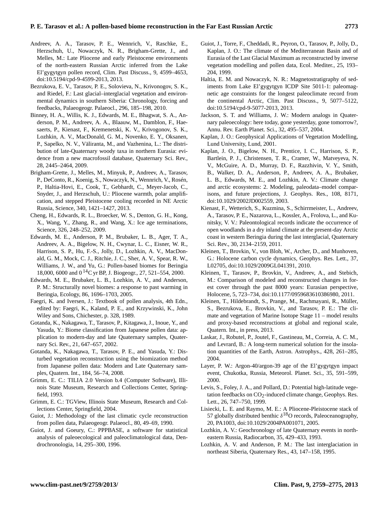- Andreev, A. A., Tarasov, P. E., Wennrich, V., Raschke, E., Herzschuh, U., Nowaczyk, N. R., Brigham-Grette, J., and Melles, M.: Late Pliocene and early Pleistocene environments of the north-eastern Russian Arctic inferred from the Lake El'gygytgyn pollen record, Clim. Past Discuss., 9, 4599–4653, doi[:10.5194/cpd-9-4599-2013,](http://dx.doi.org/10.5194/cpd-9-4599-2013) 2013.
- Bezrukova, E. V., Tarasov, P. E., Solovieva, N., Krivonogov, S. K., and Riedel, F.: Last glacial–interglacial vegetation and environmental dynamics in southern Siberia: Chronology, forcing and feedbacks, Palaeogeogr. Palaeocl., 296, 185–198, 2010.
- Binney, H. A., Willis, K. J., Edwards, M. E., Bhagwat, S. A., Anderson, P. M., Andreev, A. A., Blaauw, M., Damblon, F., Haesaerts, P., Kienast, F., Kremenetski, K. V., Krivogonov, S. K., Lozhkin, A. V., MacDonald, G. M., Novenko, E. Y., Oksanen, P., Sapelko, N. V., Väliranta, M., and Vazhenina, L.: The distribution of late-Quaternary woody taxa in northern Eurasia: evidence from a new macrofossil database, Quaternary Sci. Rev., 28, 2445–2464, 2009.
- Brigham-Grette, J., Melles, M., Minyuk, P., Andreev, A., Tarasov, P., DeConto, R., Koenig, S., Nowaczyk, N., Wennrich, V., Rosén, P., Haltia-Hovi, E., Cook, T., Gebhardt, C., Meyer-Jacob, C., Snyder, J., and Herzschuh, U.: Pliocene warmth, polar amplification, and stepped Pleistocene cooling recorded in NE Arctic Russia, Science, 340, 1421–1427, 2013.
- Cheng, H., Edwards, R. L., Broecker, W. S., Denton, G. H., Kong, X., Wang, Y., Zhang, R., and Wang, X.: Ice age terminations, Science, 326, 248–252, 2009.
- Edwards, M. E., Anderson, P. M., Brubaker, L. B., Ager, T. A., Andreev, A. A., Bigelow, N. H., Cwynar, L. C., Eisner, W. R., Harrison, S. P., Hu, F.-S., Jolly, D., Lozhkin, A. V., MacDonald, G. M., Mock, C. J., Ritchie, J. C., Sher, A. V., Spear, R. W., Williams, J. W., and Yu, G.: Pollen-based biomes for Beringia 18,000, 6000 and 0 <sup>14</sup>C yr BP, J. Biogeogr., 27, 521–554, 2000.
- Edwards, M. E., Brubaker, L. B., Lozhkin, A. V., and Anderson, P. M.: Structurally novel biomes: a response to past warming in Beringia, Ecology, 86, 1696–1703, 2005.
- Faegri, K. and Iversen, J.: Textbook of pollen analysis, 4th Edn., edited by: Faegri, K., Kaland, P. E., and Krzywinski, K., John Wiley and Sons, Chichester, p. 328, 1989.
- Gotanda, K., Nakagawa, T., Tarasov, P., Kitagawa, J., Inoue, Y., and Yasuda, Y.: Biome classification from Japanese pollen data: application to modern-day and late Quaternary samples, Quaternary Sci. Rev., 21, 647–657, 2002.
- Gotanda, K., Nakagawa, T., Tarasov, P. E., and Yasuda, Y.: Disturbed vegetation reconstruction using the biomization method from Japanese pollen data: Modern and Late Quaternary samples, Quatern. Int., 184, 56–74, 2008.
- Grimm, E. C.: TILIA 2.0 Version b.4 (Computer Software), Illinois State Museum, Research and Collections Center, Springfield, 1993.
- Grimm, E. C.: TGView, Illinois State Museum, Research and Collections Center, Springfield, 2004.
- Guiot, J.: Methodology of the last climatic cycle reconstruction from pollen data, Palaeogeogr. Palaeocl., 80, 49–69, 1990.
- Guiot, J. and Goeury, C.: PPPBASE, a software for statistical analysis of paleoecological and paleoclimatological data, Dendrochronologia, 14, 295–300, 1996.
- Guiot, J., Torre, F., Cheddadi, R., Peyron, O., Tarasov, P., Jolly, D., Kaplan, J. O.: The climate of the Mediterranean Basin and of Eurasia of the Last Glacial Maximum as reconstructed by inverse vegetation modelling and pollen data, Ecol. Mediter., 25, 193– 204, 1999.
- Haltia, E. M. and Nowaczyk, N. R.: Magnetostratigraphy of sediments from Lake El'gygytgyn ICDP Site 5011-1: paleomagnetic age constraints for the longest paleoclimate record from the continental Arctic, Clim. Past Discuss., 9, 5077–5122, doi[:10.5194/cpd-9-5077-2013,](http://dx.doi.org/10.5194/cpd-9-5077-2013) 2013.
- Jackson, S. T. and Williams, J. W.: Modern analogs in Quaternary paleoecology: here today, gone yesterday, gone tomorrow?, Annu. Rev. Earth Planet. Sci., 32, 495–537, 2004.
- Kaplan, J. O.: Geophysical Applications of Vegetation Modelling, Lund University, Lund, 2001.
- Kaplan, J. O., Bigelow, N. H., Prentice, I. C., Harrison, S. P., Bartlein, P. J., Christensen, T. R., Cramer, W., Matveyeva, N. V., McGuire, A. D., Murray, D. F., Razzhivin, V. Y., Smith, B., Walker, D. A., Anderson, P., Andreev, A. A., Brubaker, L. B., Edwards, M. E., and Lozhkin, A. V.: Climate change and arctic ecosystems: 2. Modeling, paleodata–model comparisons, and future projections, J. Geophys. Res., 108, 8171, doi[:10.1029/2002JD002559,](http://dx.doi.org/10.1029/2002JD002559) 2003.
- Kienast, F., Wetterich, S., Kuzmina, S., Schirrmeister, L., Andreev, A., Tarasov, P. E., Nazarova, L., Kossler, A., Frolova, L., and Kunitsky, V. V.: Paleontological records indicate the occurrence of open woodlands in a dry inland climate at the present-day Arctic coast in western Beringia during the last interglacial, Quaternary Sci. Rev., 30, 2134–2159, 2011.
- Kleinen, T., Brovkin, V., von Bloh, W., Archer, D., and Munhoven, G.: Holocene carbon cycle dynamics, Geophys. Res. Lett., 37, L02705, doi[:10.1029/2009GL041391,](http://dx.doi.org/10.1029/2009GL041391) 2010.
- Kleinen, T., Tarasov, P., Brovkin, V., Andreev, A., and Stebich, M.: Comparison of modeled and reconstructed changes in forest cover through the past 8000 years: Eurasian perspective, Holocene, 5, 723–734, doi[:10.1177/0959683610386980,](http://dx.doi.org/10.1177/0959683610386980) 2011.
- Kleinen, T., Hildebrandt, S., Prange, M., Rachmayani, R., Müller, S., Bezrukova, E., Brovkin, V., and Tarasov, P. E.: The climate and vegetation of Marine Isotope Stage 11 – model results and proxy-based reconstructions at global and regional scale, Quatern. Int., in press, 2013.
- Laskar, J., Robutel, P., Joutel, F., Gastineau, M., Correia, A. C. M., and Levrard, B.: A long-term numerical solution for the insolation quantities of the Earth, Astron. Astrophys., 428, 261–285, 2004.
- Layer, P. W.: Argon-40/argon-39 age of the El'gygytgyn impact event, Chukotka, Russia, Meteorol. Planet. Sci., 35, 591–599, 2000.
- Levis, S., Foley, J. A., and Pollard, D.: Potential high-latitude vegetation feedbacks on  $CO_2$ -induced climate change, Geophys. Res. Lett., 26, 747–750, 1999.
- Lisiecki, L. E. and Raymo, M. E.: A Pliocene-Pleistocene stack of 57 globally distributed benthic  $\delta^{18}O$  records, Paleoceanography, 20, PA1003, doi[:10.1029/2004PA001071,](http://dx.doi.org/10.1029/2004PA001071) 2005.
- Lozhkin, A. V.: Geochronology of late Quaternary events in northeastern Russia, Radiocarbon, 35, 429–433, 1993.
- Lozhkin, A. V. and Anderson, P. M.: The last interglaciation in northeast Siberia, Quaternary Res., 43, 147–158, 1995.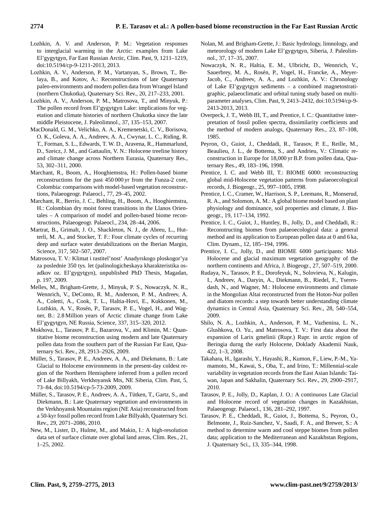- Lozhkin, A. V. and Anderson, P. M.: Vegetation responses to interglacial warming in the Arctic: examples from Lake El'gygytgyn, Far East Russian Arctic, Clim. Past, 9, 1211–1219, doi[:10.5194/cp-9-1211-2013,](http://dx.doi.org/10.5194/cp-9-1211-2013) 2013.
- Lozhkin, A. V., Anderson, P. M., Vartanyan, S., Brown, T., Belaya, B., and Kotov, A.: Reconstructions of late Quaternary paleo-environments and modern pollen data from Wrangel Island (northern Chukotka), Quaternary Sci. Rev., 20, 217–233, 2001.
- Lozhkin, A. V., Anderson, P. M., Matrosova, T., and Minyuk, P.: The pollen record from El'gygytgyn Lake: implications for vegetation and climate histories of northern Chukotka since the late middle Pleistocene, J. Paleolimnol., 37, 135–153, 2007.
- MacDonald, G. M., Velichko, A. A., Kremenetski, C. V., Borisova, O. K., Goleva, A. A., Andreev, A. A., Cwynar, L. C., Riding, R. T., Forman, S. L., Edwards, T. W. D., Aravena, R., Hammarlund, D., Szeicz, J. M., and Gattaulin, V. N.: Holocene treeline history and climate change across Northern Eurasia, Quaternary Res., 53, 302–311, 2000.
- Marchant, R., Boom, A., Hooghiemstra, H.: Pollen-based biome reconstructions for the past 450 000 yr from the Funza-2 core, Colombia: comparisons with model-based vegetation reconstructions, Palaeogeogr. Palaeocl., 77, 29–45, 2002.
- Marchant, R., Berrìo, J. C., Behling, H., Boom, A., Hooghiemstra, H.: Colombian dry moist forest transitions in the Llanos Orientales – A comparison of model and pollen-based biome reconstructions, Palaeogeogr. Palaeocl., 234, 28–44, 2006.
- Martrat, B., Grimalt, J. O., Shackleton, N. J., de Abreu, L., Hutterli, M. A., and Stocker, T. F.: Four climate cycles of recurring deep and surface water destabilizations on the Iberian Margin, Science, 317, 502–507, 2007.
- Matrosova, T. V.: Klimat i rastitel'nost' Anadyrskogo ploskogor'ya za poslednie 350 tys. let (palinologicheskaya kharakteristika osadkov oz. El'gygytgyn), unpublished PhD Thesis, Magadan, p. 197, 2009.
- Melles, M., Brigham-Grette, J., Minyuk, P. S., Nowaczyk, N. R., Wennrich, V., DeConto, R. M., Anderson, P. M., Andreev, A. A., Coletti, A., Cook, T. L., Haltia-Hovi, E., Kukkonen, M., Lozhkin, A. V., Rosén, P., Tarasov, P. E., Vogel, H., and Wagner, B.: 2.8 Million years of Arctic climate change from Lake El'gygytgyn, NE Russia, Science, 337, 315–320, 2012.
- Mokhova, L., Tarasov, P. E., Bazarova, V., and Klimin, M.: Quantitative biome reconstruction using modern and late Quaternary pollen data from the southern part of the Russian Far East, Quaternary Sci. Rev., 28, 2913–2926, 2009.
- Müller, S., Tarasov, P. E., Andreev, A. A., and Diekmann, B.: Late Glacial to Holocene environments in the present-day coldest region of the Northern Hemisphere inferred from a pollen record of Lake Billyakh, Verkhoyansk Mts, NE Siberia, Clim. Past, 5, 73–84, doi[:10.5194/cp-5-73-2009,](http://dx.doi.org/10.5194/cp-5-73-2009) 2009.
- Müller, S., Tarasov, P. E., Andreev, A. A., Tütken, T., Gartz, S., and Diekmann, B.: Late Quaternary vegetation and environments in the Verkhoyansk Mountains region (NE Asia) reconstructed from a 50-kyr fossil pollen record from Lake Billyakh, Quaternary Sci. Rev., 29, 2071–2086, 2010.
- New, M., Lister, D., Hulme, M., and Makin, I.: A high-resolution data set of surface climate over global land areas, Clim. Res., 21, 1–25, 2002.
- Nolan, M. and Brigham-Grette, J.: Basic hydrology, limnology, and meteorology of modern Lake El'gygytgyn, Siberia, J. Paleolimnol., 37, 17–35, 2007.
- Nowaczyk, N. R., Haltia, E. M., Ulbricht, D., Wennrich, V., Sauerbrey, M. A., Rosén, P., Vogel, H., Francke, A., Meyer-Jacob, C., Andreev, A. A., and Lozhkin, A. V.: Chronology of Lake El'gygytgyn sediments – a combined magnetostratigraphic, palaeoclimatic and orbital tuning study based on multiparameter analyses, Clim. Past, 9, 2413–2432, doi[:10.5194/cp-9-](http://dx.doi.org/10.5194/cp-9-2413-2013) [2413-2013,](http://dx.doi.org/10.5194/cp-9-2413-2013) 2013.
- Overpeck, J. T., Webb III, T., and Prentice, I. C.: Quantitative interpretation of fossil pollen spectra, dissimilarity coefficients and the method of modern analogs, Quaternary Res., 23, 87–108, 1985.
- Peyron, O., Guiot, J., Cheddadi, R., Tarasov, P. E., Reille, M., Beaulieu, J. L., de Bottema, S., and Andrieu, V.: Climatic reconstruction in Europe for 18,000 yr B.P. from pollen data, Quaternary Res., 49, 183–196, 1998.
- Prentice, I. C. and Webb III, T.: BIOME 6000: reconstructing global mid-Holocene vegetation patterns from palaeoecological records, J. Biogeogr., 25, 997–1005, 1998.
- Prentice, I. C., Cramer, W., Harrison, S. P., Leemans, R., Monserud, R. A., and Solomon, A. M.: A global biome model based on plant physiology and dominance, soil properties and climate, J. Biogeogr., 19, 117–134, 1992.
- Prentice, I. C., Guiot, J., Huntley, B., Jolly, D., and Cheddadi, R.: Reconstructing biomes from palaeoecological data: a general method and its application to European pollen data at 0 and 6 ka, Clim. Dynam., 12, 185–194, 1996.
- Prentice, I. C., Jolly, D., and BIOME 6000 participants: Mid-Holocene and glacial maximum vegetation geography of the northern continents and Africa, J. Biogeogr., 27, 507–519, 2000.
- Rudaya, N., Tarasov, P. E., Dorofeyuk, N., Solovieva, N., Kalugin, I., Andreev, A., Daryin, A., Diekmann, B., Riedel, F., Tserendash, N., and Wagner, M.: Holocene environments and climate in the Mongolian Altai reconstructed from the Hoton-Nur pollen and diatom records: a step towards better understanding climate dynamics in Central Asia, Quaternary Sci. Rev., 28, 540–554, 2009.
- Shilo, N. A., Lozhkin, A., Anderson, P. M., Vazhenina, L. N., Glushkova, O. Yu., and Matrosova, T. V.: First data about the expansion of Larix gmelinii (Rupr.) Rupr. in arctic region of Beringia durng the early Holocene, Doklady Akademii Nauk, 422, 1–3, 2008.
- Takahara, H., Igarashi, Y., Hayashi, R., Kumon, F., Liew, P.-M., Yamamoto, M., Kawai, S., Oba, T., and Irino, T.: Millennial-scale variability in vegetation records from the East Asian Islands: Taiwan, Japan and Sakhalin, Quaternary Sci. Rev., 29, 2900–2917, 2010.
- Tarasov, P. E., Jolly, D., Kaplan, J. O.: A continuous Late Glacial and Holocene record of vegetation changes in Kazakhstan, Palaeogeogr. Palaeocl., 136, 281–292, 1997.
- Tarasov, P. E., Cheddadi, R., Guiot, J., Bottema, S., Peyron, O., Belmonte, J., Ruiz-Sanchez, V., Saadi, F. A., and Brewer, S.: A method to determine warm and cool steppe biomes from pollen data; application to the Mediterranean and Kazakhstan Regions, J. Quaternary Sci., 13, 335–344, 1998.